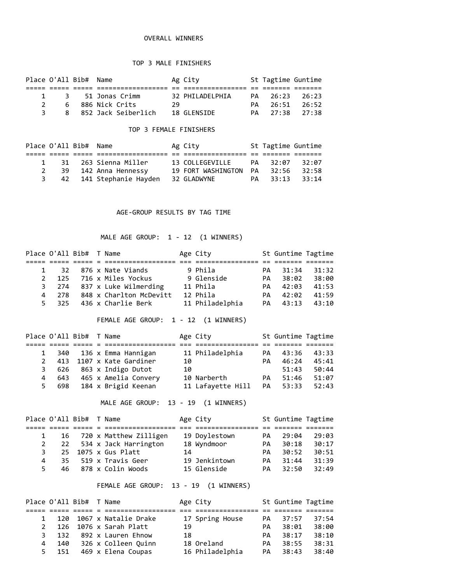## OVERALL WINNERS

### TOP 3 MALE FINISHERS

| Place O'All Bib# Name |  |                       |    | Ag City         | St Tagtime Guntime |  |
|-----------------------|--|-----------------------|----|-----------------|--------------------|--|
|                       |  |                       |    |                 |                    |  |
|                       |  | 1 3 51 Jonas Crimm    |    | 32 PHILADELPHIA | PA 26:23 26:23     |  |
| $\mathcal{P}$         |  | 6 886 Nick Crits      | 29 |                 | PA 26:51 26:52     |  |
|                       |  | 8 852 Jack Seiberlich |    | 18 GI FNSTDF    | PA 27:38 27:38     |  |

#### TOP 3 FEMALE FINISHERS

| Place O'All Bib# Name |                           | Ag City                     | St Tagtime Guntime |       |
|-----------------------|---------------------------|-----------------------------|--------------------|-------|
|                       |                           |                             |                    |       |
|                       | 1 31 263 Sienna Miller    | 13 COLLEGEVILLE PA 32:07    |                    | 32:07 |
|                       | 39 142 Anna Hennessy      | 19 FORT WASHINGTON PA 32:56 |                    | 32:58 |
|                       | 3 42 141 Stephanie Hayden | 32 GLADWYNE                 | PA 33:13           | 33:14 |

### AGE-GROUP RESULTS BY TAG TIME

MALE AGE GROUP: 1 - 12 (1 WINNERS)

|                |     | Place O'All Bib# T Name |                             | Age City        |    | St Guntime Tagtime |       |
|----------------|-----|-------------------------|-----------------------------|-----------------|----|--------------------|-------|
|                |     |                         |                             |                 |    |                    |       |
|                |     |                         | 1 32 876 x Nate Viands      | 9 Phila         |    | PA 31:34           | 31:32 |
| $\mathcal{P}$  |     |                         | 125 716 x Miles Yockus      | 9 Glenside      | PA | 38:02              | 38:00 |
|                |     |                         | 3 274 837 x Luke Wilmerding | 11 Phila        | PA | 42:03              | 41:53 |
| $\overline{4}$ | 278 |                         | 848 x Charlton McDevitt     | 12 Phila        | PA | 42:02              | 41:59 |
| 5.             |     |                         | 325 436 x Charlie Berk      | 11 Philadelphia | PA | 43:13              | 43:10 |

FEMALE AGE GROUP: 1 - 12 (1 WINNERS)

|              | Place O'All Bib# T Name |  |                          |    | Age City          |    | St Guntime Tagtime |       |
|--------------|-------------------------|--|--------------------------|----|-------------------|----|--------------------|-------|
|              |                         |  |                          |    |                   |    |                    |       |
|              |                         |  | 340 136 x Emma Hannigan  |    | 11 Philadelphia   | PA | 43:36              | 43:33 |
| $\mathbf{2}$ |                         |  | 413 1107 x Kate Gardiner | 10 |                   | PA | 46:24              | 45:41 |
| 3            |                         |  | 626 863 x Indigo Dutot   | 10 |                   |    | 51:43              | 50:44 |
| 4            | 643                     |  | 465 x Amelia Convery     |    | 10 Narberth       | PA | 51:46              | 51:07 |
| 5.           | 698                     |  | 184 x Brigid Keenan      |    | 11 Lafayette Hill |    | PA 53:33           | 52:43 |

MALE AGE GROUP: 13 - 19 (1 WINNERS)

| Place O'All Bib# T Name |  |                            |    | Age City      |    | St Guntime Tagtime |       |
|-------------------------|--|----------------------------|----|---------------|----|--------------------|-------|
|                         |  |                            |    |               |    |                    |       |
|                         |  | 16 720 x Matthew Zilligen  |    | 19 Doylestown | PA | 29:04              | 29:03 |
|                         |  | 2 22 534 x Jack Harrington |    | 18 Wyndmoor   | PA | 30:18              | 30:17 |
| 3                       |  | 25 1075 x Gus Platt        | 14 |               | PA | 30:52              | 30:51 |
| 4                       |  | 35 519 x Travis Geer       |    | 19 Jenkintown | PA | 31:44              | 31:39 |
| 5.                      |  | 46 878 x Colin Woods       |    | 15 Glenside   | PA | 32:50              | 32:49 |

## FEMALE AGE GROUP: 13 - 19 (1 WINNERS)

|              | Place O'All Bib# T Name |  |                          |    | Age City        |     | St Guntime Tagtime |       |
|--------------|-------------------------|--|--------------------------|----|-----------------|-----|--------------------|-------|
|              |                         |  |                          |    |                 |     |                    |       |
| $\mathbf{1}$ |                         |  | 120 1067 x Natalie Drake |    | 17 Spring House | PA  | 37:57              | 37:54 |
| 2            |                         |  | 126 1076 x Sarah Platt   | 19 |                 | PА  | 38:01              | 38:00 |
| 3            |                         |  | 132 892 x Lauren Ehnow   | 18 |                 | PA. | 38:17              | 38:10 |
| 4            | 140                     |  | 326 x Colleen Ouinn      |    | 18 Oreland      | PA. | 38:55              | 38:31 |
| 5.           | 151                     |  | 469 x Elena Coupas       |    | 16 Philadelphia | PA  | 38:43              | 38:40 |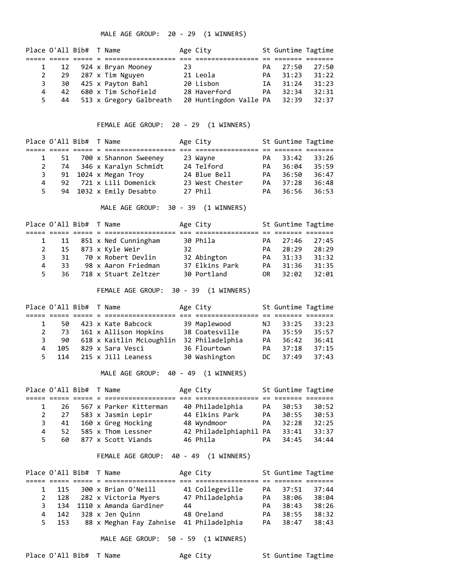MALE AGE GROUP: 20 - 29 (1 WINNERS)

| Place O'All Bib# T Name |    |  |                         |    | Age City                     |     | St Guntime Tagtime |       |
|-------------------------|----|--|-------------------------|----|------------------------------|-----|--------------------|-------|
|                         |    |  |                         |    |                              |     |                    |       |
|                         |    |  | 12 924 x Bryan Mooney   | 23 |                              | PA  | 27:50              | 27:50 |
| $2^{\circ}$             |    |  | 29 287 x Tim Nguyen     |    | 21 Leola                     | PA. | 31:23              | 31:22 |
| 3                       |    |  | 30 425 x Payton Bahl    |    | 20 Lisbon                    | ΙA  | 31:24              | 31:23 |
| 4                       | 42 |  | 680 x Tim Schofield     |    | 28 Haverford                 | PA  | 32:34              | 32:31 |
| 5.                      | 44 |  | 513 x Gregory Galbreath |    | 20 Huntingdon Valle PA 32:39 |     |                    | 32:37 |

FEMALE AGE GROUP: 20 - 29 (1 WINNERS)

|             | Place O'All Bib# T Name |  |                          | Age City        |    | St Guntime Tagtime |       |
|-------------|-------------------------|--|--------------------------|-----------------|----|--------------------|-------|
|             |                         |  |                          |                 |    |                    |       |
|             |                         |  | 51 700 x Shannon Sweeney | 23 Wayne        | PA | 33:42              | 33:26 |
| $2^{\circ}$ |                         |  | 74 346 x Karalyn Schmidt | 24 Telford      | PA | 36:04              | 35:59 |
| 3           |                         |  | 91 1024 x Megan Troy     | 24 Blue Bell    | PA | 36:50              | 36:47 |
| 4           |                         |  | 92 721 x Lili Domenick   | 23 West Chester | PA | 37:28              | 36:48 |
| 5.          |                         |  | 94 1032 x Emily Desabto  | 27 Phil         | PA | 36:56              | 36:53 |

MALE AGE GROUP: 30 - 39 (1 WINNERS)

|    | Place O'All Bib# T Name |  |                           |    | Age City       |     | St Guntime Tagtime |       |
|----|-------------------------|--|---------------------------|----|----------------|-----|--------------------|-------|
|    |                         |  |                           |    |                |     |                    |       |
|    |                         |  | 1 11 851 x Ned Cunningham |    | 30 Phila       | PA  | 27:46              | 27:45 |
| 2  |                         |  | 15   873 x Kyle Weir      | 32 |                | PA. | 28:29              | 28:29 |
| 3  | 31                      |  | 70 x Robert Devlin        |    | 32 Abington    | PA  | 31:33              | 31:32 |
| 4  | 33.                     |  | 98 x Aaron Friedman       |    | 37 Elkins Park |     | PA 31:36           | 31:35 |
| 5. |                         |  | 36 718 x Stuart Zeltzer   |    | 30 Portland    | 0R. | 32:02              | 32:01 |

FEMALE AGE GROUP: 30 - 39 (1 WINNERS)

|              |           | Place O'All Bib# T Name |                          | Age City        |     | St Guntime Tagtime |       |
|--------------|-----------|-------------------------|--------------------------|-----------------|-----|--------------------|-------|
|              |           |                         |                          |                 |     |                    |       |
| $\mathbf{1}$ | 50.       |                         | 423 x Kate Babcock       | 39 Maplewood    | NJ  | 33:25              | 33:23 |
|              | 2 73      |                         | 161 x Allison Hopkins    | 38 Coatesville  | PA  | 35:59              | 35:57 |
|              | - 90<br>3 |                         | 618 x Kaitlin McLoughlin | 32 Philadelphia | PA  | 36:42              | 36:41 |
| 4            | 105       |                         | 829 x Sara Vesci         | 36 Flourtown    | PA  | 37:18              | 37:15 |
| 5.           | 114       |                         | 215 x Jill Leaness       | 30 Washington   | DC. | 37:49              | 37:43 |

MALE AGE GROUP: 40 - 49 (1 WINNERS)

|    | Place O'All Bib# T Name |  |                        | Age City                     |    | St Guntime Tagtime |       |
|----|-------------------------|--|------------------------|------------------------------|----|--------------------|-------|
|    |                         |  |                        |                              |    |                    |       |
|    | -26                     |  | 567 x Parker Kitterman | 40 Philadelphia              | PA | 30:53              | 30:52 |
| 2  | 27                      |  | 583 x Jasmin Lepir     | 44 Elkins Park               | PA | 30:55              | 30:53 |
| 3  | 41                      |  | 160 x Greg Hocking     | 48 Wyndmoor                  | PA | 32:28              | 32:25 |
| 4  | 52                      |  | 585 x Thom Lessner     | 42 Philadelphiaphil PA 33:41 |    |                    | 33:37 |
| 5. | 60.                     |  | 877 x Scott Viands     | 46 Phila                     | PA | 34:45              | 34:44 |

FEMALE AGE GROUP: 40 - 49 (1 WINNERS)

|   | Place O'All Bib# T Name |  |                                         |    | Age City        |     | St Guntime Tagtime |       |
|---|-------------------------|--|-----------------------------------------|----|-----------------|-----|--------------------|-------|
|   |                         |  |                                         |    |                 |     |                    |       |
|   | 115                     |  | 300 x Brian O'Neill                     |    | 41 Collegeville | PA  | 37:51              | 37:44 |
|   |                         |  | 2 128 282 x Victoria Myers              |    | 47 Philadelphia | PA  | 38:06              | 38:04 |
| 3 |                         |  | 134 1110 x Amanda Gardiner              | 44 |                 | PA. | 38:43              | 38:26 |
| 4 | 142                     |  | 328 x Jen Quinn                         |    | 48 Oreland      | PA. | 38:55              | 38:32 |
|   | 5 153                   |  | 88 x Meghan Fay Zahnise 41 Philadelphia |    |                 | PA  | 38:47              | 38:43 |

MALE AGE GROUP: 50 - 59 (1 WINNERS)

Place O'All Bib# T Name  $\qquad \qquad$  Age City  $\qquad \qquad$  St Guntime Tagtime